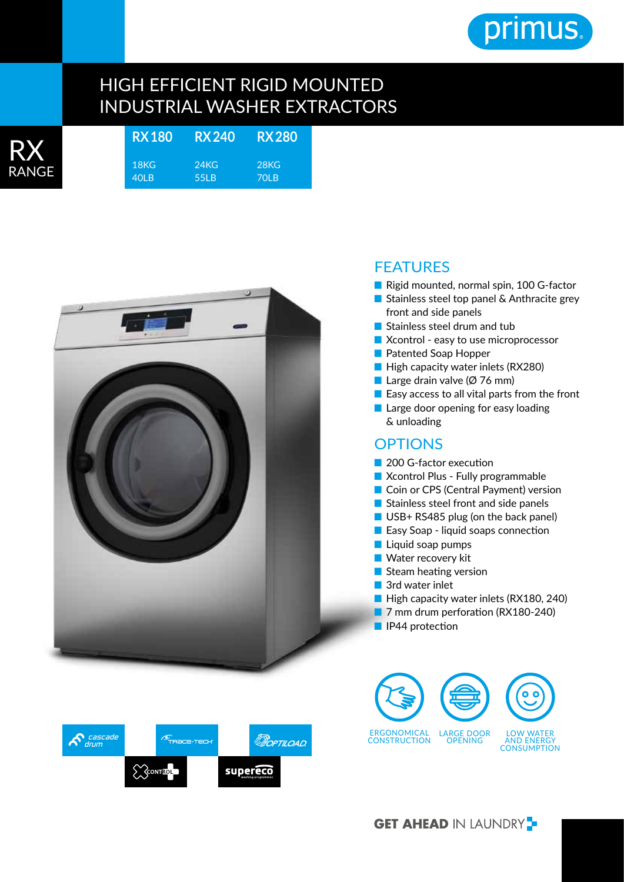

## HIGH EFFICIENT RIGID MOUNTED INDUSTRIAL WASHER EXTRACTORS

| <b>RX</b> | <b>RX180</b>     | <b>RX240</b> | <b>RX 280</b> |  |  |
|-----------|------------------|--------------|---------------|--|--|
|           | $-18KG$          | <b>24KG</b>  | 28KG          |  |  |
| RANGE     | 40I <sub>1</sub> | <b>55LB</b>  | 70LB          |  |  |



 $\mathscr{T}_{\mathsf{ThetaCE}\text{-}\mathsf{TECH}}$ 

X CONTROL

**OOPTILOAD** 

supereco

 $\boldsymbol{\mathcal{S}}$  cascade

## FEATURES

- Rigid mounted, normal spin, 100 G-factor
- Stainless steel top panel & Anthracite grey front and side panels
- Stainless steel drum and tub
- Xcontrol easy to use microprocessor
- Patented Soap Hopper
- High capacity water inlets (RX280)
- Large drain valve ( $Ø$  76 mm)
- Easy access to all vital parts from the front
- Large door opening for easy loading & unloading

## **OPTIONS**

- 200 G-factor execution
- Xcontrol Plus Fully programmable
- Coin or CPS (Central Payment) version
- Stainless steel front and side panels
- USB+ RS485 plug (on the back panel)
- Easy Soap liquid soaps connection
- Liquid soap pumps
- Water recovery kit
- Steam heating version
- 3rd water inlet
- High capacity water inlets (RX180, 240)
- 7 mm drum perforation (RX180-240)
- IP44 protection





**GET AHEAD IN LAUNDRY**